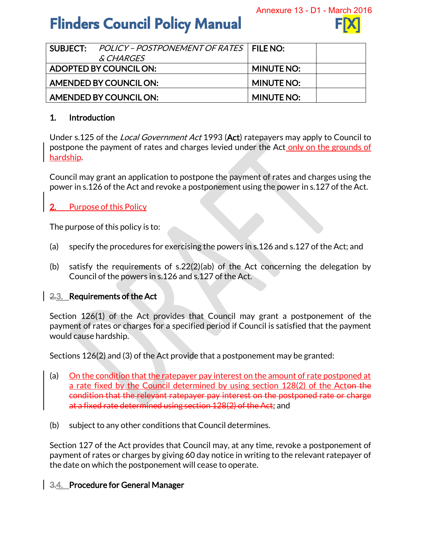# **Flinders Council Policy Manual**



|                               | SUBJECT: POLICY - POSTPONEMENT OF RATES   FILE NO: |                   |  |
|-------------------------------|----------------------------------------------------|-------------------|--|
|                               | <i>&amp; CHARGES</i>                               |                   |  |
| ADOPTED BY COUNCIL ON:        |                                                    | <b>MINUTE NO:</b> |  |
| <b>AMENDED BY COUNCIL ON:</b> |                                                    | <b>MINUTE NO:</b> |  |
| AMENDED BY COUNCIL ON:        |                                                    | <b>MINUTE NO:</b> |  |

#### 1. Introduction

Under s.125 of the *Local Government Act* 1993 (Act) ratepayers may apply to Council to postpone the payment of rates and charges levied under the Act only on the grounds of hardship.

Council may grant an application to postpone the payment of rates and charges using the power in s.126 of the Act and revoke a postponement using the power in s.127 of the Act.

# Purpose of this Policy

The purpose of this policy is to:

- (a) specify the procedures for exercising the powers in s.126 and s.127 of the Act; and
- (b) satisfy the requirements of s.22(2)(ab) of the Act concerning the delegation by Council of the powers in s.126 and s.127 of the Act.

# 2.3. Requirements of the Act

Section 126(1) of the Act provides that Council may grant a postponement of the payment of rates or charges for a specified period if Council is satisfied that the payment would cause hardship.

Sections 126(2) and (3) of the Act provide that a postponement may be granted:

- (a) On the condition that the ratepayer pay interest on the amount of rate postponed at a rate fixed by the Council determined by using section 128(2) of the Acton the condition that the relevant ratepayer pay interest on the postponed rate or charge at a fixed rate determined using section 128(2) of the Act; and
- (b) subject to any other conditions that Council determines.

Section 127 of the Act provides that Council may, at any time, revoke a postponement of payment of rates or charges by giving 60 day notice in writing to the relevant ratepayer of the date on which the postponement will cease to operate.

# 3.4. Procedure for General Manager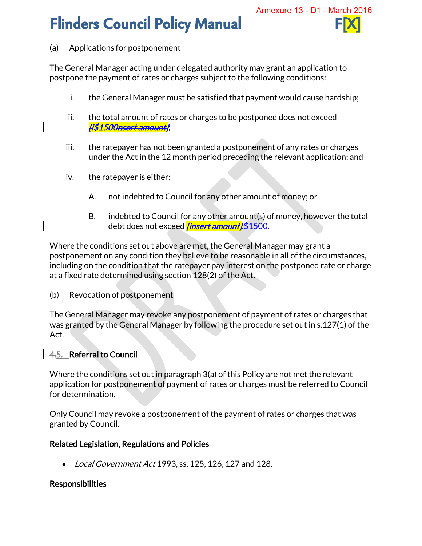# **Flinders Council Policy Manual**



#### (a) Applications for postponement

The General Manager acting under delegated authority may grant an application to postpone the payment of rates or charges subject to the following conditions:

- i. the General Manager must be satisfied that payment would cause hardship;
- ii. the total amount of rates or charges to be postponed does not exceed [i\$1500nsert amount];
- iii. the ratepayer has not been granted a postponement of any rates or charges under the Act in the 12 month period preceding the relevant application; and
- iv. the ratepayer is either:
	- A. not indebted to Council for any other amount of money; or
	- B. indebted to Council for any other amount(s) of money, however the total debt does not exceed *<del>[insert amount].*\$1500.</del>

Where the conditions set out above are met, the General Manager may grant a postponement on any condition they believe to be reasonable in all of the circumstances, including on the condition that the ratepayer pay interest on the postponed rate or charge at a fixed rate determined using section 128(2) of the Act.

(b) Revocation of postponement

The General Manager may revoke any postponement of payment of rates or charges that was granted by the General Manager by following the procedure set out in s.127(1) of the Act.

# 4.5. Referral to Council

Where the conditions set out in paragraph 3(a) of this Policy are not met the relevant application for postponement of payment of rates or charges must be referred to Council for determination.

Only Council may revoke a postponement of the payment of rates or charges that was granted by Council.

# Related Legislation, Regulations and Policies

• Local Government Act 1993, ss. 125, 126, 127 and 128.

# Responsibilities